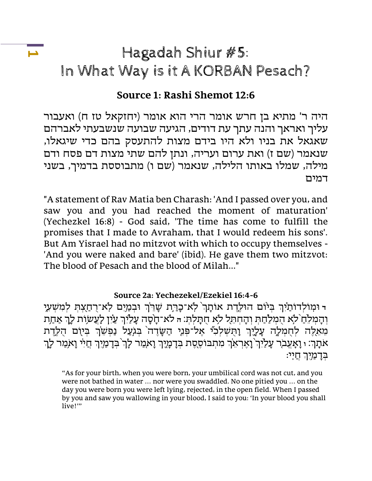# Hagadah Shiur #5: In What Way is it A KORBAN Pesach?

# **Source 1: Rashi Shemot 12:6**

היה ר' מתיא בן חרש אומר הרי הוא אומר )יחזקאל טז ח( ואעבור עליך ואראך והנה עתך עת דודים, הגיעה שבועה שנשבעתי לאברהם שאגאל את בניו ולא היו בידם מצות להתעסק בהם כדי שיגאלו, שנאמר (שם ז) ואת ערום ועריה, ונתן להם שתי מצות דם פסח ודם מילה, שמלו באותו הלילה, שנאמר (שם ו) מתבוססת בדמיך, בשני דמים

"A statement of Rav Matia ben Charash: 'And I passed over you, and saw you and you had reached the moment of maturation' (Yechezkel 16:8) - God said, 'The time has come to fulfill the promises that I made to Avraham, that I would redeem his sons'. But Am Yisrael had no mitzvot with which to occupy themselves - 'And you were naked and bare' (ibid). He gave them two mitzvot: The blood of Pesach and the blood of Milah..."

#### **Source 2a: Yechezekel/Ezekiel 16:4-6**

ד וּמְוֹלְדוֹתַיִּךְ בִּיּוֹם הוּלֵדֶת אוֹתָךְ לְא־כָרַת שָׁרֵ<sup>וֹ</sup>ךְ וּבְמַיִם לְא־רֻחֲצִתְּ לְמִשְׁעֵי וִהָמִלְחַ לֹא הְמִלַּחַתְ וְהָחְתֵל לֹא חְתָלִת: ה לֹא־חָסָה עָלַיְךְ עַיִן לְעֵשְוָת לָךְ אַחַת ְמְאֵלֶה לְחָמְלָה עָלֶיֶךְ וָהָשְלְלִי אֶל־פְּנֵי הַשָּׂדֶה בְּגְעַל נַפְשָׁךְ בְּיוָם הֻלֶדֶת אתה: ו וָאָעֵבֹר עָלַיִך<sup>ְיָ</sup> וָאֵרְאֵךְ מִתְבוֹסֶסֶת בְּדָמָיֶךְ וָא*ִמַר לַך* בִּדָמַיִךְ חֲיִי וָא*ְמַר* לָךְ בְדָמ*ֲיִ*יִךְ חֵיְי׃

**1**

<sup>&</sup>quot;As for your birth, when you were born, your umbilical cord was not cut, and you were not bathed in water … nor were you swaddled. No one pitied you … on the day you were born you were left lying, rejected, in the open field. When I passed by you and saw you wallowing in your blood, I said to you: 'In your blood you shall live!"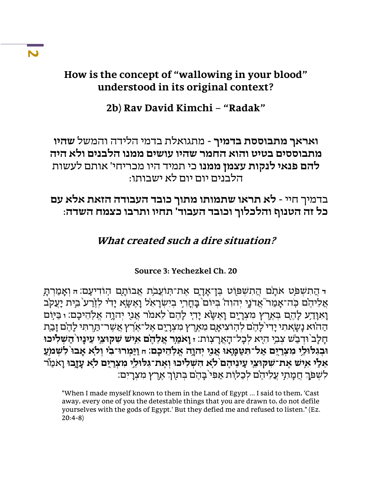# **How is the concept of "wallowing in your blood" understood in its original context?**

# **2b) Rav David Kimchi – "Radak"**

**ואראך מתבוססת בדמיך** - מתגואלת בדמי הלידה והמשל **שהיו מתבוססים בטיט והוא החמר שהיו עושים ממנו הלבנים ולא היה להם פנאי לנקות עצמן ממנו** כי תמיד היו מכריחי' אותם לעשות הלבנים יום יום לא ישבותו:

בדמיך חיי - **לא תראו שתמותו מתוך כובד העבודה הזאת אלא עם כל זה הטנוף והלכלוך וכובד העבוד' תחיו ותרבו כצמח השדה**:

# **What created such a dire situation?**

### **Source 3: Yechezkel Ch. 20**

ד הַתִשְׁפֹּט אֹתַם הֲתִשְׁפּוֹט בֵּן־אַדָם אֶת־תִּוֹעֲבֹת אֲבוֹתָם הִוֹדִיעָם: הּ וְאָמַרִת*ַ* אֲלֵיהֵם כְּה־אָמַר אֲדֹנָי יִהוְה בִיּוֹם בָּחֲרִי בִיִשְרָאֵל וָאֲשֶׂא יַדִי לְזֶרַע בֵית יָעֲקֹב וָאוָדַע לָהֶם בְּאֶרֶץ מִצְרָיֶם וָאֵשָׂא יָדִי לָהֶם לֵאמֹר אֲנֶי יִהוָה אֱלְהֵיכָם: <sub>י</sub> בַּיִּוֹם הַהוֹּא נַשֲאתִי יַדִי ֹלַהֵם לְהִוֹצִיאַם מֵאֶרֵץ מִצְרֵיֶם אֱל־אֶרֶץ אֲשֶׁר־תַּרְתִּי לַהֶם זַבְת חָלָב<sup>י</sup>וּדִבַשׁ צִבְי הִיָא לִכָל־הָאֲרָצְוֹת: ז**ַןאמַר אֲלֶהֶם אִישׁ שְקוּצֵי עֵינָיו** הַ**שִׁלִּיכוּ** וּבְגִלּוּלֵי מִצְרַיֶם אֲל־תְּטַמַּאוּ אֲנִי יִהוַה אֵלְהֵיכָם: n וַיַּמְרוּ־בִי וְלֹא אֲבוּ לְשְׁמֹעַ אֵלַי אִיש אֵת־שִקוּצֵי עַינִיהֵם לֹא הִשְׁלִיכוּ וְאֵת־גִּלוּלֵי מִצְרַיֶם לֹא עָזֶבוּ וָאֹמַיׁ ֹלִשְׁפֹּךְ חֲמָתִי עֲלִיהֵם לִכְלִוֹת אַפִּי בָהֶם בְּתוֹךְ אֶרֶץ מִצְרָיִם:

"When I made myself known to them in the Land of Egypt ... I said to them, 'Cast away, every one of you the detestable things that you are drawn to, do not defile yourselves with the gods of Egypt.' But they defied me and refused to listen." (Ez. 20:4-8)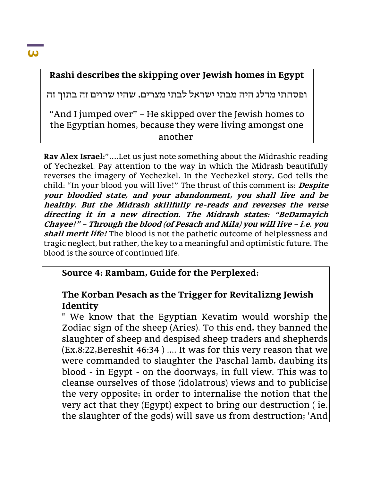# **Rashi describes the skipping over Jewish homes in Egypt**

ופסחתי מדלג היה מבתי ישראל לבתי מצרים, שהיו שרוים זה בתוך זה

"And I jumped over" – He skipped over the Jewish homes to the Egyptian homes, because they were living amongst one another

**Rav Alex Israel:**"….Let us just note something about the Midrashic reading of Yechezkel. Pay attention to the way in which the Midrash beautifully reverses the imagery of Yechezkel. In the Yechezkel story, God tells the child: "In your blood you will live!" The thrust of this comment is: **Despite your bloodied state, and your abandonment, you shall live and be healthy. But the Midrash skillfully re-reads and reverses the verse directing it in a new direction. The Midrash states: "BeDamayich Chayee!" – Through the blood (of Pesach and Mila) you will live – i.e. you shall merit life!** The blood is not the pathetic outcome of helplessness and tragic neglect, but rather, the key to a meaningful and optimistic future. The blood is the source of continued life.

### **Source 4: Rambam, Guide for the Perplexed:**

### **The Korban Pesach as the Trigger for Revitalizng Jewish Identity**

" We know that the Egyptian Kevatim would worship the Zodiac sign of the sheep (Aries). To this end, they banned the slaughter of sheep and despised sheep traders and shepherds (Ex.8:22,Bereshit 46:34 ) .... It was for this very reason that we were commanded to slaughter the Paschal lamb, daubing its blood - in Egypt - on the doorways, in full view. This was to cleanse ourselves of those (idolatrous) views and to publicise the very opposite; in order to internalise the notion that the very act that they (Egypt) expect to bring our destruction ( ie. the slaughter of the gods) will save us from destruction; 'And

#### **3**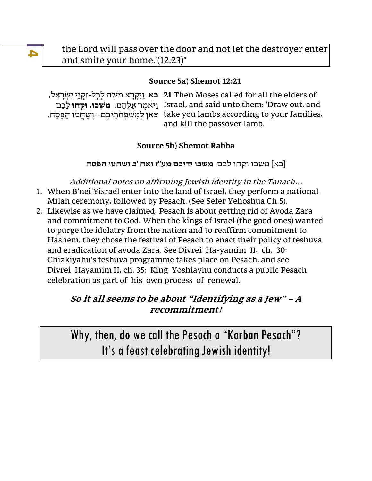the Lord will pass over the door and not let the destroyer enter and smite your home.'(12:23)"

#### **Source 5a) Shemot 12:21**

יִשְׂרָאֵל, עוֹשֵה לִכָל-זִקְנֵי יִשְׂרָאֵל, 21 Then Moses called for all the elders of ו ּי **מׁ ְׁשכו,ּ וּ ְׁקחוּ** לָכ ם ֹא מר ֲא ל הם: Israel, and said unto them: 'Draw out, and . צֹאן לְמִשְׁפְּחֹתֵיכֶם--וְשַׁחֲטוּ הַפְּסַח take you lambs according to your families, and kill the passover lamb.

#### **Source 5b) Shemot Rabba**

]כא[ משכו וקחו לכם. **משכו ידיכם מע"ז ואח"כ ושחטו הפסח** 

Additional notes on affirming Jewish identity in the Tanach… 1. When B'nei Yisrael enter into the land of Israel, they perform a national Milah ceremony, followed by Pesach. (See Sefer Yehoshua Ch.5).

2. Likewise as we have claimed, Pesach is about getting rid of Avoda Zara and commitment to God. When the kings of Israel (the good ones) wanted to purge the idolatry from the nation and to reaffirm commitment to Hashem, they chose the festival of Pesach to enact their policy of teshuva and eradication of avoda Zara. See Divrei Ha-yamim II, ch. 30: Chizkiyahu's teshuva programme takes place on Pesach, and see Divrei Hayamim II, ch. 35: King Yoshiayhu conducts a public Pesach celebration as part of his own process of renewal.

### **So it all seems to be about "Identifying as a Jew" – <sup>A</sup> recommitment!**

Why, then, do we call the Pesach a "Korban Pesach"? It's a feast celebrating Jewish identity!

**4**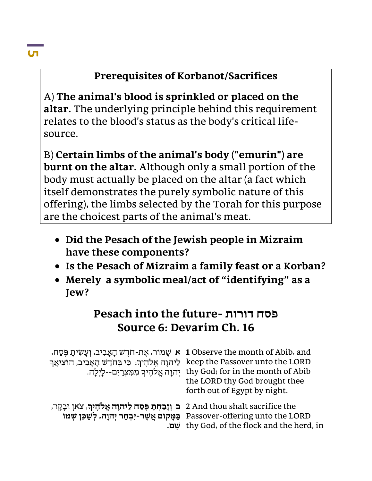# **Prerequisites of Korbanot/Sacrifices**

A) **The animal's blood is sprinkled or placed on the altar.** The underlying principle behind this requirement relates to the blood's status as the body's critical lifesource.

B) **Certain limbs of the animal's body ("emurin") are burnt on the altar.** Although only a small portion of the body must actually be placed on the altar (a fact which itself demonstrates the purely symbolic nature of this offering), the limbs selected by the Torah for this purpose are the choicest parts of the animal's meat.

- **Did the Pesach of the Jewish people in Mizraim have these components?**
- **Is the Pesach of Mizraim a family feast or a Korban?**
- **Merely a symbolic meal/act of "identifying" as a Jew?**

# **Pesach into the future- דורות פסח Source 6: Devarim Ch. 16**

| , שמוֹר, אֵת-חֹדֵשׁ הָאָבִיב, וְעָשִׂיתָ פֵּסַח, 1 Observe the month of Abib, and<br>keep the Passover unto the LORD לַיהוָה אֱלֹהֶיךְ: כִּי בְּחֹדֶשׁ הָאָבִיב, הוֹצִיאֲךָ | thy God; for in the month of Abib יְהוָה אֱלֹהֵיךְ מִמְצְרַיִם--לָיִלָה.<br>the LORD thy God brought thee<br>forth out of Egypt by night. |
|-----------------------------------------------------------------------------------------------------------------------------------------------------------------------------|-------------------------------------------------------------------------------------------------------------------------------------------|
| ב וַזָּבַחִתְּ פָּסַח לַיהוָה אֱלֹהֶיךָ, צֹאן וּבָקָר, 2 And thou shalt sacrifice the                                                                                       | Passover-offering unto the LORD בַּמַּקוֹם אֲשֶׁר-יִבְחַר יִהוָה, לְשַׁבֵּן שְׁמוֹ<br>thy God, of the flock and the herd, in              |

### **Сп**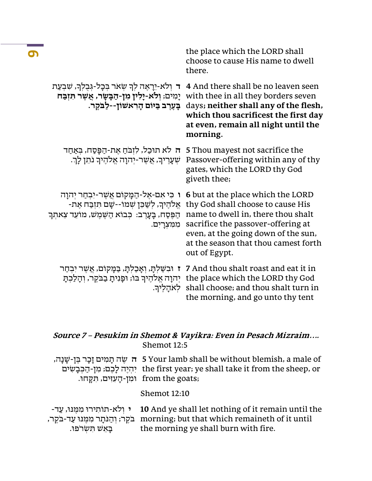|                                                                                                                                                                  | the place which the LORD shall<br>choose to cause His name to dwell<br>there.                                                                                                                                                                      |
|------------------------------------------------------------------------------------------------------------------------------------------------------------------|----------------------------------------------------------------------------------------------------------------------------------------------------------------------------------------------------------------------------------------------------|
| ד ולא-יֵרָאֶה לִךְ שָׁאר בִּכָל-גִּבְלִךְ, שִׁבְעַת<br>יָמִים; וִלֹא-יָלִין מִן-הַבָּשָׂר, אֲשֶׁר תִּזְבַּח<br>בַּעֲרֵב בַּיּוֹם הָרִאשׁוֹן--לַבֹּקֶר.           | 4 And there shall be no leaven seen<br>with thee in all they borders seven<br>days; neither shall any of the flesh,<br>which thou sacrificest the first day<br>at even, remain all night until the<br>morning.                                     |
| ה לא תוכל, לובח את-הפסח, באחד<br>שְׁעָרֶיךָ, אֲשֶׁר-יְהוָה אֱלֹהֶיךָ נֹתֵן לַךְ.                                                                                 | 5 Thou mayest not sacrifice the<br>Passover-offering within any of thy<br>gates, which the LORD thy God<br>giveth thee;                                                                                                                            |
| ו כי אם-אל-המקום אַשר-יִבחַר יִהוַה<br>אֱלֹהֶיךָ, לְשַׁבֵן שִׁמוֹ--שָם תִּזְבַּח אֵת-<br>ּהַפֶּסַח, בַעָרֶב: כִּבוֹא הַשֶּׁמֶשׁ, מוֹעֵד צֵאתִךְ<br>מִמְּצְרַיִם. | 6 but at the place which the LORD<br>thy God shall choose to cause His<br>name to dwell in, there thou shalt<br>sacrifice the passover-offering at<br>even, at the going down of the sun,<br>at the season that thou camest forth<br>out of Egypt. |
| ז וּבִשַׁלִתָּ, וְאָבַלְתָּ, בַּמָּקוֹם, אֲשֶׁר יִבְחַר<br>יִהוָה אֱלֹהֶיךָ בּוֹ; וּפָנִיתָ בַבֹּקֶר, וְהָלַכִתָּ<br>לאהליר.                                     | 7 And thou shalt roast and eat it in<br>the place which the LORD thy God<br>shall choose; and thou shalt turn in<br>the morning, and go unto thy tent                                                                                              |

### **Source 7 – Pesukim in Shemot & Vayikra: Even in Pesach Mizraim….** Shemot 12:5

|                                            | יִשְׁנָה, אֵ א אַה תַמִּים זָכָר בֶּן-שָׁנָה, א S Your lamb shall be without blemish, a male of |
|--------------------------------------------|-------------------------------------------------------------------------------------------------|
|                                            | the first year; ye shall take it from the sheep, or יְהִיֶה לָכֶם; מִן-הַבִּבָשִׂים             |
| from the goats; וּמִן-הָעִזִּים, תִּקְחוּ. |                                                                                                 |

Shemot 12:10

|                      | י ולא-תותירוּ ממנוּ, עַד- 10 And ye shall let nothing of it remain until the          |
|----------------------|---------------------------------------------------------------------------------------|
|                      | בְּקֶר; וְהַנֹּתָר מִמֶּנוּ עַד-בֹּקֶר, morning; but that which remaineth of it until |
| בַּאֵשׁ תִּשְׂרֹפוּ. | the morning ye shall burn with fire.                                                  |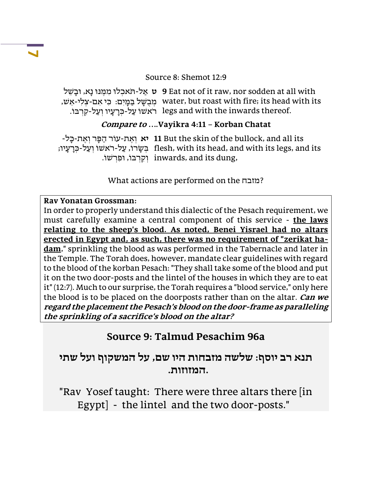#### Source 8: Shemot 12:9

**ט** א ל - תּ ֹאכְ לוּ מִ מּ נּוּ נָא, וּבָ ש ל **9** Eat not of it raw, nor sodden at all with , מִבְשָׁל בַּמַּיִם: כִּי אִם-צְלִי-אֵשׁ water, but roast with fire; its head with its . רֹאשׁוֹ עַל-כְּרָעָיו וְעַל-קִרְבּוֹ legs and with the inwards thereof.

#### **Compare to ….Vayikra 4:11 – Korban Chatat**

**יא** וְ א ת-עוֹר ה פּ ָר וְ א ת - כָּל- **11** But the skin of the bullock, and all its ּ בְּשֶׂרוֹ, עַל-רֹאשׁוֹ וְעַל-כְּרָעָיו; flesh, with its head, and with its legs, and its . וִקְרְבּוֹ, וּפִרְשׁוֹ inwards, and its dung,

What actions are performed on the מזבח?

#### **Rav Yonatan Grossman:**

In order to properly understand this dialectic of the Pesach requirement, we must carefully examine a central component of this service - **the laws relating to the sheep's blood. As noted, Benei Yisrael had no altars erected in Egypt and, as such, there was no requirement of "zerikat hadam**," sprinkling the blood as was performed in the Tabernacle and later in the Temple. The Torah does, however, mandate clear guidelines with regard to the blood of the korban Pesach: "They shall take some of the blood and put it on the two door-posts and the lintel of the houses in which they are to eat it" (12:7). Much to our surprise, the Torah requires a "blood service," only here the blood is to be placed on the doorposts rather than on the altar. **Can we regard the placement the Pesach's blood on the door-frame as paralleling the sprinkling of a sacrifice's blood on the altar?** 

# **Source 9: Talmud Pesachim 96a**

**תנא רב יוסף: שלשה מזבחות היו שם, על המשקוף ועל שתי .המזוזות.** 

"Rav Yosef taught: There were three altars there [in Egypt] - the lintel and the two door-posts."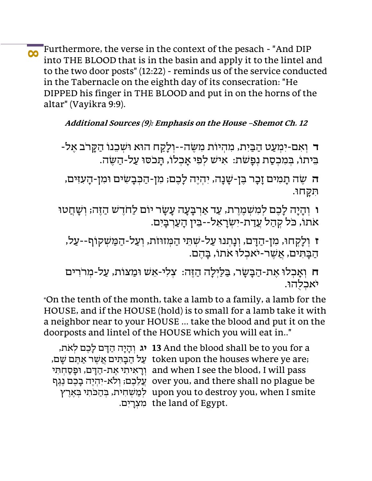**8** Furthermore, the verse in the context of the pesach - "And DIP into THE BLOOD that is in the basin and apply it to the lintel and to the two door posts" (12:22) - reminds us of the service conducted in the Tabernacle on the eighth day of its consecration: "He DIPPED his finger in THE BLOOD and put in on the horns of the altar" (Vayikra 9:9).

**Additional Sources (9): Emphasis on the House –Shemot Ch. 12**

**ד** וְ אִ ם-יִמְ ע ט ה בּ יִ ת, מִ הְ יוֹת מִ ש ּ הְ--ו ָל קח ה ּוא ּו ְש כנ ֹו ה ָּקרֹב אל- בִּיתוֹ, בְּמִכְסָת נִפָּשֹׁת: אִישׁ לִפְי אַכְלוֹ, תַּכֹסוּ עַל-הַשֶּׂה.

**ה** שֵׂה תָמִים זָכָר בֵּן-שָׁנָה, יִהְיֵה לָכֵם; מִן-הַכִּבָשִׂים וּמִן-הָעִזִּים, ִּת ָּקח ּו.

**ו** וְהָיָה לָכֵם לִמְשְׁמֵרֵת, עַד אַרְבָּעָה עָשָׂר יוֹם לַחֹדֵשׁ הַזֵּה; וְשָׁחֲטוּ ֹאֹתוֹ, כֹּל קְהַל עֲדַת-יִשְׂרָאֵל--בִּין הָעֲרְבָיִם.

**ז** וְ לָקְ חו,ּ מִ ן-ה דָּ ם, וְ נָתְ נוּ ע ל-ש ְ תּ י ה מְּ זוּזֹת, וְ ע ל-ה מּ ש ְ קוֹף--ע ל, הבתים, אשר-יֹאכלוּ אֹתוֹ, בַּהם.

ח וְאָכְלוּ אֶת-הַבָּשָׂר, בַלַיִלַה הַזֶּה: צְלִי-אֵשׁ וּמַצוֹת, עַל-מִרֹרִים יֹאכלהוּ.

"On the tenth of the month, take a lamb to a family, a lamb for the HOUSE, and if the HOUSE (hold) is to small for a lamb take it with a neighbor near to your HOUSE ... take the blood and put it on the doorposts and lintel of the HOUSE which you will eat in.."

יג וְהָיָה הַדָּם לָכֵם לִאת, **13** And the blood shall be to you for a ,על הַבָּתִּים אֲשֶׁר אַתֵּם שָׁם token upon the houses where ye are; וְ רָ אִ יתִ י א ת-ה דָּ ם, וּפָ ס חְ תִּ י and when I see the blood, I will pass עֲל כ ם; וְ לֹא-יִ הְ י ה בָ כ ם נ ג ף over you, and there shall no plague be לְמַשְׁחִית, בְּהַכֹּתִי בְּאֵרֶץ upon you to destroy you, when I smite מִצְרָיִם. the land of Egypt.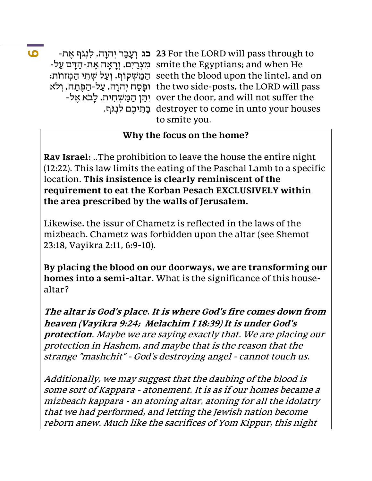**9**

-בג וְעָבַר יִהוָה, לִנְגֹף אֵת **23** For the LORD will pass through to -מִצְרַיִם, וְרָאָה אֵת-הַדָּם עַל smite the Egyptians; and when He ּ הַמַּשְׁקוֹף, וְעַל שִׁתֵּי הַמִּזוּזֹת; seeth the blood upon the lintel, and on the two side-posts, the LORD will pass וּפָסַח יִהוָה, עַל-הַפֵּתַח, וִלֹא -אֵל over the door, and will not suffer the יִתֵּן הַמַּשְׁחִית, לָבֹא אֵל ָבְּתֵּיכֶם לִנְגִּף. destroyer to come in unto your houses to smite you.

### **Why the focus on the home?**

**Rav Israel:** ..The prohibition to leave the house the entire night (12:22). This law limits the eating of the Paschal Lamb to a specific location. **This insistence is clearly reminiscent of the requirement to eat the Korban Pesach EXCLUSIVELY within the area prescribed by the walls of Jerusalem.**

Likewise, the issur of Chametz is reflected in the laws of the mizbeach. Chametz was forbidden upon the altar (see Shemot 23:18, Vayikra 2:11, 6:9-10).

**By placing the blood on our doorways, we are transforming our homes into a semi-altar.** What is the significance of this housealtar?

**The altar is God's place. It is where God's fire comes down from heaven (Vayikra 9:24; Melachim I 18:39) It is under God's protection**. Maybe we are saying exactly that. We are placing our protection in Hashem, and maybe that is the reason that the strange "mashchit" - God's destroying angel - cannot touch us.

Additionally, we may suggest that the daubing of the blood is some sort of Kappara - atonement. It is as if our homes became a mizbeach kappara - an atoning altar, atoning for all the idolatry that we had performed, and letting the Jewish nation become reborn anew. Much like the sacrifices of Yom Kippur, this night